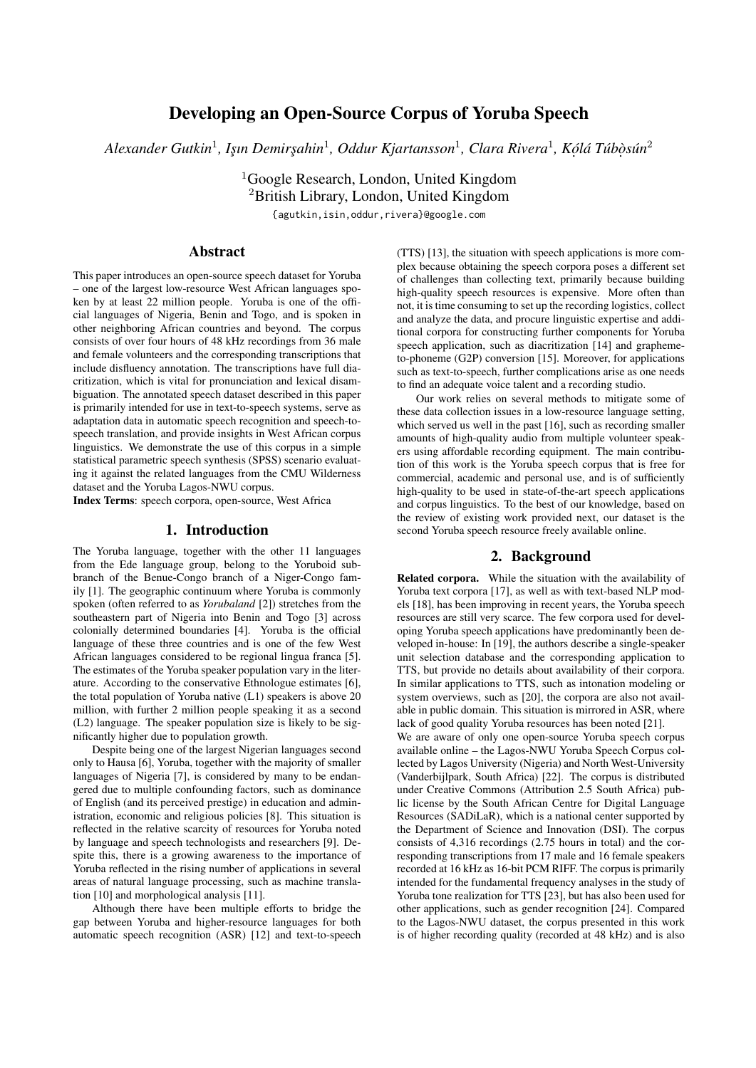# Developing an Open-Source Corpus of Yoruba Speech

Alexander Gutkin<sup>1</sup>, Işın Demirşahin<sup>1</sup>, Oddur Kjartansson<sup>1</sup>, Clara Rivera<sup>1</sup>, Kólá Túbòsún<sup>2</sup>

<sup>1</sup>Google Research, London, United Kingdom <sup>2</sup>British Library, London, United Kingdom {agutkin,isin,oddur,rivera}@google.com

## Abstract

This paper introduces an open-source speech dataset for Yoruba – one of the largest low-resource West African languages spoken by at least 22 million people. Yoruba is one of the official languages of Nigeria, Benin and Togo, and is spoken in other neighboring African countries and beyond. The corpus consists of over four hours of 48 kHz recordings from 36 male and female volunteers and the corresponding transcriptions that include disfluency annotation. The transcriptions have full diacritization, which is vital for pronunciation and lexical disambiguation. The annotated speech dataset described in this paper is primarily intended for use in text-to-speech systems, serve as adaptation data in automatic speech recognition and speech-tospeech translation, and provide insights in West African corpus linguistics. We demonstrate the use of this corpus in a simple statistical parametric speech synthesis (SPSS) scenario evaluating it against the related languages from the CMU Wilderness dataset and the Yoruba Lagos-NWU corpus.

Index Terms: speech corpora, open-source, West Africa

#### 1. Introduction

The Yoruba language, together with the other 11 languages from the Ede language group, belong to the Yoruboid subbranch of the Benue-Congo branch of a Niger-Congo family [1]. The geographic continuum where Yoruba is commonly spoken (often referred to as *Yorubaland* [2]) stretches from the southeastern part of Nigeria into Benin and Togo [3] across colonially determined boundaries [4]. Yoruba is the official language of these three countries and is one of the few West African languages considered to be regional lingua franca [5]. The estimates of the Yoruba speaker population vary in the literature. According to the conservative Ethnologue estimates [6], the total population of Yoruba native (L1) speakers is above 20 million, with further 2 million people speaking it as a second (L2) language. The speaker population size is likely to be significantly higher due to population growth.

Despite being one of the largest Nigerian languages second only to Hausa [6], Yoruba, together with the majority of smaller languages of Nigeria [7], is considered by many to be endangered due to multiple confounding factors, such as dominance of English (and its perceived prestige) in education and administration, economic and religious policies [8]. This situation is reflected in the relative scarcity of resources for Yoruba noted by language and speech technologists and researchers [9]. Despite this, there is a growing awareness to the importance of Yoruba reflected in the rising number of applications in several areas of natural language processing, such as machine translation [10] and morphological analysis [11].

Although there have been multiple efforts to bridge the gap between Yoruba and higher-resource languages for both automatic speech recognition (ASR) [12] and text-to-speech (TTS) [13], the situation with speech applications is more complex because obtaining the speech corpora poses a different set of challenges than collecting text, primarily because building high-quality speech resources is expensive. More often than not, it is time consuming to set up the recording logistics, collect and analyze the data, and procure linguistic expertise and additional corpora for constructing further components for Yoruba speech application, such as diacritization [14] and graphemeto-phoneme (G2P) conversion [15]. Moreover, for applications such as text-to-speech, further complications arise as one needs to find an adequate voice talent and a recording studio.

Our work relies on several methods to mitigate some of these data collection issues in a low-resource language setting, which served us well in the past [16], such as recording smaller amounts of high-quality audio from multiple volunteer speakers using affordable recording equipment. The main contribution of this work is the Yoruba speech corpus that is free for commercial, academic and personal use, and is of sufficiently high-quality to be used in state-of-the-art speech applications and corpus linguistics. To the best of our knowledge, based on the review of existing work provided next, our dataset is the second Yoruba speech resource freely available online.

### 2. Background

Related corpora. While the situation with the availability of Yoruba text corpora [17], as well as with text-based NLP models [18], has been improving in recent years, the Yoruba speech resources are still very scarce. The few corpora used for developing Yoruba speech applications have predominantly been developed in-house: In [19], the authors describe a single-speaker unit selection database and the corresponding application to TTS, but provide no details about availability of their corpora. In similar applications to TTS, such as intonation modeling or system overviews, such as [20], the corpora are also not available in public domain. This situation is mirrored in ASR, where lack of good quality Yoruba resources has been noted [21].

We are aware of only one open-source Yoruba speech corpus available online – the Lagos-NWU Yoruba Speech Corpus collected by Lagos University (Nigeria) and North West-University (Vanderbijlpark, South Africa) [22]. The corpus is distributed under Creative Commons (Attribution 2.5 South Africa) public license by the South African Centre for Digital Language Resources (SADiLaR), which is a national center supported by the Department of Science and Innovation (DSI). The corpus consists of 4,316 recordings (2.75 hours in total) and the corresponding transcriptions from 17 male and 16 female speakers recorded at 16 kHz as 16-bit PCM RIFF. The corpus is primarily intended for the fundamental frequency analyses in the study of Yoruba tone realization for TTS [23], but has also been used for other applications, such as gender recognition [24]. Compared to the Lagos-NWU dataset, the corpus presented in this work is of higher recording quality (recorded at 48 kHz) and is also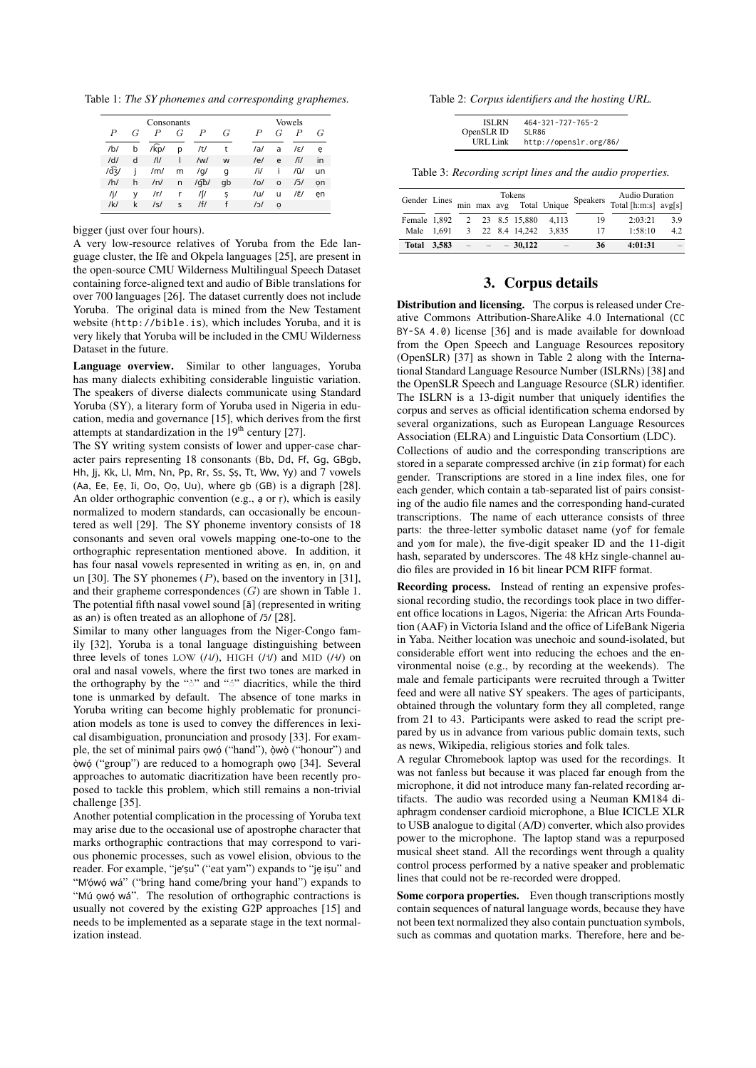Table 1: *The SY phonemes and corresponding graphemes.*

| Consonants       |   |            |              |                  |    | Vowels           |         |             |    |  |
|------------------|---|------------|--------------|------------------|----|------------------|---------|-------------|----|--|
| $\boldsymbol{P}$ | G | P          | G            | $\boldsymbol{P}$ | G  | $\boldsymbol{P}$ | G       | P           | G  |  |
| /b/              | b | /kp/       | p            | /t/              | t  | /al              | a       | /ε/         | e  |  |
| /d/              | d | /          | ı            | /wl              | W  | /el              | e       | /ĭ/         | in |  |
| $\sqrt{dz}/$     |   | /m/        | m            | /q/              | a  | /i/              | Î       | /ũ/         | un |  |
| /h/              | h | /n/        | n            | /qb/             | qb | /0/              | $\circ$ | $\sqrt{3}/$ | on |  |
| /j/              | ٧ | /r/        | r            | ∕∫/              | Ş  | /u/              | u       | /ἕ/         | en |  |
| $/$ k/           | k | $\sqrt{S}$ | $\mathsf{s}$ | / f/             |    | /כ/              | o       |             |    |  |

bigger (just over four hours).

A very low-resource relatives of Yoruba from the Ede language cluster, the Ifè and Okpela languages [25], are present in the open-source CMU Wilderness Multilingual Speech Dataset containing force-aligned text and audio of Bible translations for over 700 languages [26]. The dataset currently does not include Yoruba. The original data is mined from the New Testament website (http://bible.is), which includes Yoruba, and it is very likely that Yoruba will be included in the CMU Wilderness Dataset in the future.

Language overview. Similar to other languages, Yoruba has many dialects exhibiting considerable linguistic variation. The speakers of diverse dialects communicate using Standard Yoruba (SY), a literary form of Yoruba used in Nigeria in education, media and governance [15], which derives from the first attempts at standardization in the  $19<sup>th</sup>$  century [27].

The SY writing system consists of lower and upper-case character pairs representing 18 consonants (Bb, Dd, Ff, Gg, GBgb, Hh, Jj, Kk, Ll, Mm, Nn, Pp, Rr, Ss, Șș, Tt, Ww, Yy) and 7 vowels (Aa, Ee, Ẹẹ, Ii, Oo, Ọọ, Uu), where gb (GB) is a digraph [28]. An older orthographic convention (e.g., ạ or ṛ), which is easily normalized to modern standards, can occasionally be encountered as well [29]. The SY phoneme inventory consists of 18 consonants and seven oral vowels mapping one-to-one to the orthographic representation mentioned above. In addition, it has four nasal vowels represented in writing as ẹn, in, ọn and un [30]. The SY phonemes (*P*), based on the inventory in [31], and their grapheme correspondences (*G*) are shown in Table 1. The potential fifth nasal vowel sound [ã] (represented in writing as an) is often treated as an allophone of  $/5/$  [28].

Similar to many other languages from the Niger-Congo family [32], Yoruba is a tonal language distinguishing between three levels of tones LOW  $(14)$ , HIGH  $(14)$  and MID  $(14)$  on oral and nasal vowels, where the first two tones are marked in the orthography by the """ and """ diacritics, while the third tone is unmarked by default. The absence of tone marks in Yoruba writing can become highly problematic for pronunciation models as tone is used to convey the differences in lexical disambiguation, pronunciation and prosody [33]. For example, the set of minimal pairs ọwọ́ ("hand"), ọ̀wọ̀ ("honour") and ọ̀wọ́ ("group") are reduced to a homograph ọwọ [34]. Several approaches to automatic diacritization have been recently proposed to tackle this problem, which still remains a non-trivial challenge [35].

Another potential complication in the processing of Yoruba text may arise due to the occasional use of apostrophe character that marks orthographic contractions that may correspond to various phonemic processes, such as vowel elision, obvious to the reader. For example, "je'ṣu" ("eat yam") expands to "jẹ iṣu" and "M'ọ́wọ́ wá" ("bring hand come/bring your hand") expands to "Mú ọwọ́ wá". The resolution of orthographic contractions is usually not covered by the existing G2P approaches [15] and needs to be implemented as a separate stage in the text normalization instead.

Table 2: *Corpus identifiers and the hosting URL.*

| <b>ISLRN</b> | $464 - 321 - 727 - 765 - 2$ |
|--------------|-----------------------------|
| OpenSLR ID   | SLR86                       |
| URL Link     | http://openslr.org/86/      |

Table 3: *Recording script lines and the audio properties.*

|              |  | Tokens<br>Gender Lines min max avg Total Unique |  |                 |       |          | Audio Duration         |     |
|--------------|--|-------------------------------------------------|--|-----------------|-------|----------|------------------------|-----|
|              |  |                                                 |  |                 |       | Speakers | Total [h:m:s] $avg[s]$ |     |
| Female 1.892 |  |                                                 |  | 2 23 8.5 15,880 | 4.113 | 19       | 2.03.21                | 3.9 |
| Male 1.691   |  |                                                 |  | 3 22 8.4 14.242 | 3.835 | 17       | 1:58:10                | 42  |
| Total 3.583  |  |                                                 |  | $-30.122$       |       | 36       | 4:01:31                |     |

#### 3. Corpus details

Distribution and licensing. The corpus is released under Creative Commons Attribution-ShareAlike 4.0 International (CC BY-SA 4.0) license [36] and is made available for download from the Open Speech and Language Resources repository (OpenSLR) [37] as shown in Table 2 along with the International Standard Language Resource Number (ISLRNs) [38] and the OpenSLR Speech and Language Resource (SLR) identifier. The ISLRN is a 13-digit number that uniquely identifies the corpus and serves as official identification schema endorsed by several organizations, such as European Language Resources Association (ELRA) and Linguistic Data Consortium (LDC).

Collections of audio and the corresponding transcriptions are stored in a separate compressed archive (in zip format) for each gender. Transcriptions are stored in a line index files, one for each gender, which contain a tab-separated list of pairs consisting of the audio file names and the corresponding hand-curated transcriptions. The name of each utterance consists of three parts: the three-letter symbolic dataset name (yof for female and yom for male), the five-digit speaker ID and the 11-digit hash, separated by underscores. The 48 kHz single-channel audio files are provided in 16 bit linear PCM RIFF format.

Recording process. Instead of renting an expensive professional recording studio, the recordings took place in two different office locations in Lagos, Nigeria: the African Arts Foundation (AAF) in Victoria Island and the office of LifeBank Nigeria in Yaba. Neither location was unechoic and sound-isolated, but considerable effort went into reducing the echoes and the environmental noise (e.g., by recording at the weekends). The male and female participants were recruited through a Twitter feed and were all native SY speakers. The ages of participants, obtained through the voluntary form they all completed, range from 21 to 43. Participants were asked to read the script prepared by us in advance from various public domain texts, such as news, Wikipedia, religious stories and folk tales.

A regular Chromebook laptop was used for the recordings. It was not fanless but because it was placed far enough from the microphone, it did not introduce many fan-related recording artifacts. The audio was recorded using a Neuman KM184 diaphragm condenser cardioid microphone, a Blue ICICLE XLR to USB analogue to digital (A/D) converter, which also provides power to the microphone. The laptop stand was a repurposed musical sheet stand. All the recordings went through a quality control process performed by a native speaker and problematic lines that could not be re-recorded were dropped.

Some corpora properties. Even though transcriptions mostly contain sequences of natural language words, because they have not been text normalized they also contain punctuation symbols, such as commas and quotation marks. Therefore, here and be-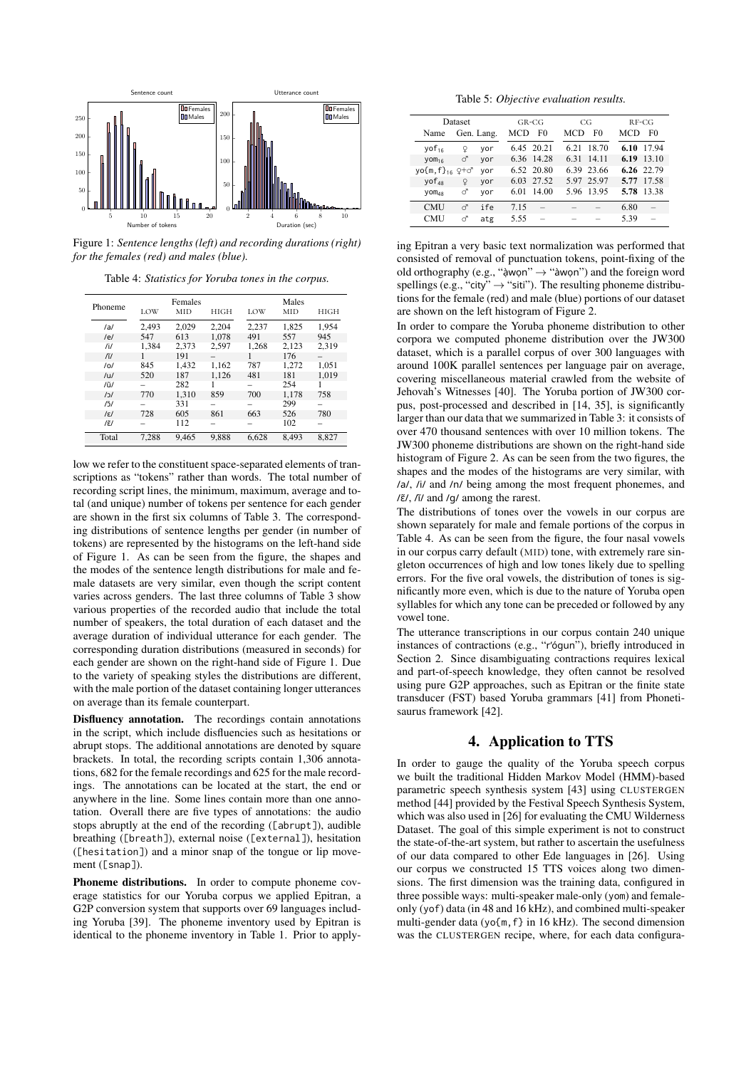

Figure 1: *Sentence lengths (left) and recording durations (right) for the females (red) and males (blue).*

Table 4: *Statistics for Yoruba tones in the corpus.*

|                      |       | Females |       |       | Males |             |  |
|----------------------|-------|---------|-------|-------|-------|-------------|--|
| Phoneme              | LOW   | MID     | HIGH  | LOW   | MID   | <b>HIGH</b> |  |
| /al                  | 2,493 | 2.029   | 2.204 | 2.237 | 1.825 | 1.954       |  |
| /el                  | 547   | 613     | 1.078 | 491   | 557   | 945         |  |
| /1/                  | 1.384 | 2.373   | 2.597 | 1.268 | 2.123 | 2,319       |  |
| ΓI                   |       | 191     |       | 1     | 176   |             |  |
| /0/                  | 845   | 1.432   | 1,162 | 787   | 1.272 | 1.051       |  |
| /U                   | 520   | 187     | 1.126 | 481   | 181   | 1.019       |  |
| /U                   |       | 282     |       |       | 254   |             |  |
| 121                  | 770   | 1.310   | 859   | 700   | 1.178 | 758         |  |
| 151                  |       | 331     | -     |       | 299   | -           |  |
| $\sqrt{\varepsilon}$ | 728   | 605     | 861   | 663   | 526   | 780         |  |
| $l\tilde{\epsilon}$  |       | 112     |       |       | 102   |             |  |
| Total                | 7.288 | 9.465   | 9.888 | 6.628 | 8.493 | 8.827       |  |

low we refer to the constituent space-separated elements of transcriptions as "tokens" rather than words. The total number of recording script lines, the minimum, maximum, average and total (and unique) number of tokens per sentence for each gender are shown in the first six columns of Table 3. The corresponding distributions of sentence lengths per gender (in number of tokens) are represented by the histograms on the left-hand side of Figure 1. As can be seen from the figure, the shapes and the modes of the sentence length distributions for male and female datasets are very similar, even though the script content varies across genders. The last three columns of Table 3 show various properties of the recorded audio that include the total number of speakers, the total duration of each dataset and the average duration of individual utterance for each gender. The corresponding duration distributions (measured in seconds) for each gender are shown on the right-hand side of Figure 1. Due to the variety of speaking styles the distributions are different, with the male portion of the dataset containing longer utterances on average than its female counterpart.

Disfluency annotation. The recordings contain annotations in the script, which include disfluencies such as hesitations or abrupt stops. The additional annotations are denoted by square brackets. In total, the recording scripts contain 1,306 annotations, 682 for the female recordings and 625 for the male recordings. The annotations can be located at the start, the end or anywhere in the line. Some lines contain more than one annotation. Overall there are five types of annotations: the audio stops abruptly at the end of the recording ([abrupt]), audible breathing ([breath]), external noise ([external]), hesitation ([hesitation]) and a minor snap of the tongue or lip movement ([snap]).

Phoneme distributions. In order to compute phoneme coverage statistics for our Yoruba corpus we applied Epitran, a G2P conversion system that supports over 69 languages including Yoruba [39]. The phoneme inventory used by Epitran is identical to the phoneme inventory in Table 1. Prior to apply-

Table 5: *Objective evaluation results.*

| Dataset                             |              |            | $GR-CG$ |            | CG   |            | $RF-CG$    |                |
|-------------------------------------|--------------|------------|---------|------------|------|------------|------------|----------------|
| Name                                |              | Gen. Lang. | MCD     | F0         | MCD  | F0         | <b>MCD</b> | F <sub>0</sub> |
| $y$ of <sub>16</sub>                | Q            | vor        |         | 6.45 20.21 | 6.21 | 18.70      | 6.10       | 17.94          |
| $Y$ Om <sub>16</sub>                | ♂            | vor        |         | 6.36 14.28 | 6.31 | 14.11      | 6.19       | 13.10          |
| $y$ o{m, f} <sub>16</sub> $2 + c^2$ |              | vor        |         | 6.52 20.80 |      | 6.39 23.66 |            | 6.26 22.79     |
| $VOF_{48}$                          | $\mathsf{Q}$ | vor        | 6.03    | 27.52      |      | 5.97 25.97 | 5.77       | 17.58          |
| $VOM_{AB}$                          | ♂            | vor        | 6.01    | 14.00      |      | 5.96 13.95 | 5.78       | 13.38          |
| <b>CMU</b>                          | ♂            | ife        | 7.15    |            |      |            | 6.80       |                |
| <b>CMU</b>                          | ♂            | atg        | 5.55    |            |      |            | 5.39       |                |

ing Epitran a very basic text normalization was performed that consisted of removal of punctuation tokens, point-fixing of the old orthography (e.g., "ạ̀wọn" *→* "àwọn") and the foreign word spellings (e.g., "city"  $\rightarrow$  "siti"). The resulting phoneme distributions for the female (red) and male (blue) portions of our dataset are shown on the left histogram of Figure 2.

In order to compare the Yoruba phoneme distribution to other corpora we computed phoneme distribution over the JW300 dataset, which is a parallel corpus of over 300 languages with around 100K parallel sentences per language pair on average, covering miscellaneous material crawled from the website of Jehovah's Witnesses [40]. The Yoruba portion of JW300 corpus, post-processed and described in [14, 35], is significantly larger than our data that we summarized in Table 3: it consists of over 470 thousand sentences with over 10 million tokens. The JW300 phoneme distributions are shown on the right-hand side histogram of Figure 2. As can be seen from the two figures, the shapes and the modes of the histograms are very similar, with /a/, /i/ and /n/ being among the most frequent phonemes, and  $\frac{1}{\epsilon}$ ,  $\frac{\pi}{4}$  and  $\frac{1}{q}$  among the rarest.

The distributions of tones over the vowels in our corpus are shown separately for male and female portions of the corpus in Table 4. As can be seen from the figure, the four nasal vowels in our corpus carry default (MID) tone, with extremely rare singleton occurrences of high and low tones likely due to spelling errors. For the five oral vowels, the distribution of tones is significantly more even, which is due to the nature of Yoruba open syllables for which any tone can be preceded or followed by any vowel tone.

The utterance transcriptions in our corpus contain 240 unique instances of contractions (e.g., "r'ógun"), briefly introduced in Section 2. Since disambiguating contractions requires lexical and part-of-speech knowledge, they often cannot be resolved using pure G2P approaches, such as Epitran or the finite state transducer (FST) based Yoruba grammars [41] from Phonetisaurus framework [42].

# 4. Application to TTS

In order to gauge the quality of the Yoruba speech corpus we built the traditional Hidden Markov Model (HMM)-based parametric speech synthesis system [43] using CLUSTERGEN method [44] provided by the Festival Speech Synthesis System, which was also used in [26] for evaluating the CMU Wilderness Dataset. The goal of this simple experiment is not to construct the state-of-the-art system, but rather to ascertain the usefulness of our data compared to other Ede languages in [26]. Using our corpus we constructed 15 TTS voices along two dimensions. The first dimension was the training data, configured in three possible ways: multi-speaker male-only (yom) and femaleonly (yof) data (in 48 and 16 kHz), and combined multi-speaker multi-gender data (yo{m,f} in 16 kHz). The second dimension was the CLUSTERGEN recipe, where, for each data configura-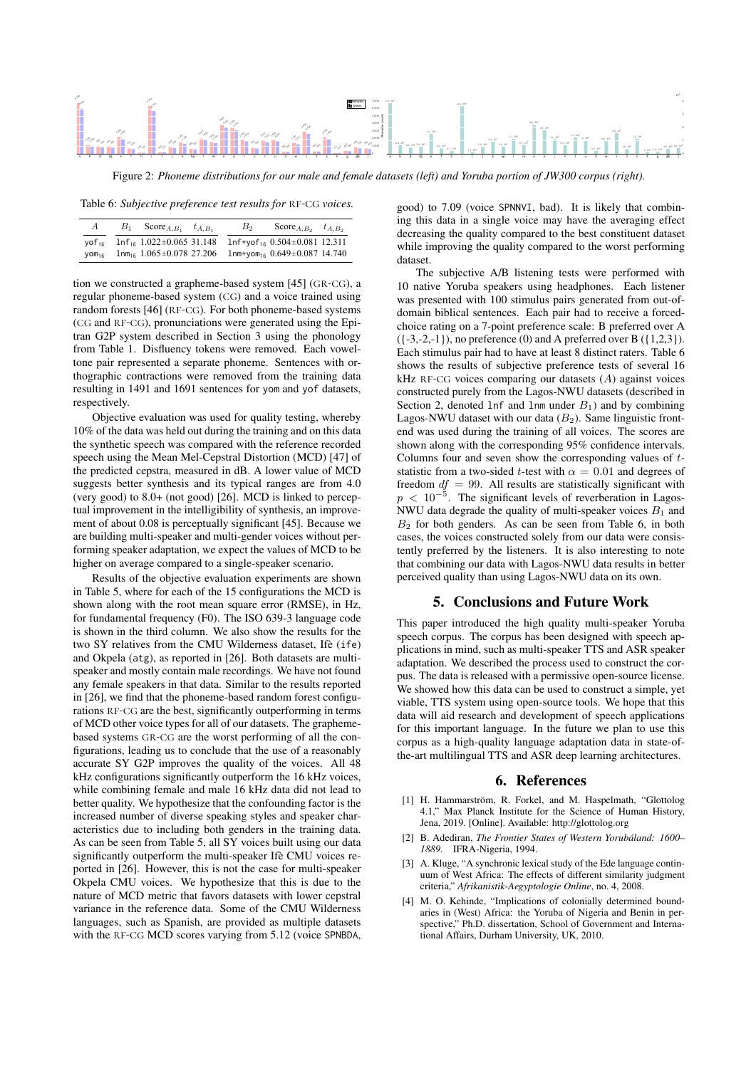

Figure 2: *Phoneme distributions for our male and female datasets (left) and Yoruba portion of JW300 corpus (right).*

Table 6: *Subjective preference test results for* RF-CG *voices*.

| $\boldsymbol{A}$  | $B_1$ Score <sub>A,<math>B_1</math></sub> $t_{A,B_1}$ | $B_{2}$ | Score $A, B_2$ $t_{A, B_2}$                       |  |
|-------------------|-------------------------------------------------------|---------|---------------------------------------------------|--|
| VOF <sub>16</sub> | $ln f_{16}$ 1.022±0.065 31.148                        |         | $ln f + \gamma o f_{16}$ 0.504 $\pm$ 0.081 12.311 |  |
| VOM <sub>16</sub> | $1nm_{16}$ 1.065 $\pm$ 0.078 27.206                   |         | $1$ nm+yom <sub>16</sub> $0.649 \pm 0.087$ 14.740 |  |

tion we constructed a grapheme-based system [45] (Gr-cG), a regular phoneme-based system (cG) and a voice trained using random forests [46] (RF-CG). For both phoneme-based systems (CG and RF-CG), pronunciations were generated using the Epitran G2P system described in Section 3 using the phonology from Table 1. Disfluency tokens were removed. Each voweltone pair represented a separate phoneme. Sentences with orthographic contractions were removed from the training data resulting in 1491 and 1691 sentences for yom and yof datasets, respectively.

Objective evaluation was used for quality testing, whereby 10% of the data was held out during the training and on this data the synthetic speech was compared with the reference recorded speech using the Mean Mel-Cepstral Distortion (MCD) [47] of the predicted cepstra, measured in dB. A lower value of MCD suggests better synthesis and its typical ranges are from 4.0 (very good) to 8.0+ (not good) [26]. MCD is linked to perceptual improvement in the intelligibility of synthesis, an improvement of about 0.08 is perceptually significant [45]. Because we are building multi-speaker and multi-gender voices without performing speaker adaptation, we expect the values of MCD to be higher on average compared to a single-speaker scenario.

Results of the objective evaluation experiments are shown in Table 5, where for each of the 15 configurations the MCD is shown along with the root mean square error (RMSE), in Hz, for fundamental frequency (F0). The ISO 639-3 language code is shown in the third column. We also show the results for the two SY relatives from the CMU Wilderness dataset, Ifè (ife) and Okpela (atg), as reported in [26]. Both datasets are multispeaker and mostly contain male recordings. We have not found any female speakers in that data. Similar to the results reported in [26], we find that the phoneme-based random forest configurations RF-CG are the best, significantly outperforming in terms of MCD other voice types for all of our datasets. The graphemebased systems Gr-cG are the worst performing of all the configurations, leading us to conclude that the use of a reasonably accurate SY G2P improves the quality of the voices. All 48 kHz configurations significantly outperform the 16 kHz voices, while combining female and male 16 kHz data did not lead to better quality. We hypothesize that the confounding factor is the increased number of diverse speaking styles and speaker characteristics due to including both genders in the training data. As can be seen from Table 5, all SY voices built using our data significantly outperform the multi-speaker Ifè CMU voices reported in [26]. However, this is not the case for multi-speaker Okpela CMU voices. We hypothesize that this is due to the nature of MCD metric that favors datasets with lower cepstral variance in the reference data. Some of the CMU Wilderness languages, such as Spanish, are provided as multiple datasets with the RF-CG MCD scores varying from 5.12 (voice SPNBDA,

good) to 7.09 (voice SPNNVI, bad). It is likely that combining this data in a single voice may have the averaging effect decreasing the quality compared to the best constituent dataset while improving the quality compared to the worst performing dataset.

The subjective A/B listening tests were performed with 10 native Yoruba speakers using headphones. Each listener was presented with 100 stimulus pairs generated from out-ofdomain biblical sentences. Each pair had to receive a forcedchoice rating on a 7-point preference scale: B preferred over A  $({-3,-2,-1})$ , no preference (0) and A preferred over B  $({1,2,3})$ . Each stimulus pair had to have at least 8 distinct raters. Table 6 shows the results of subjective preference tests of several 16 kHz rF-cG voices comparing our datasets (*A*) against voices constructed purely from the Lagos-NWU datasets (described in Section 2, denoted 1nf and 1nm under  $B_1$ ) and by combining Lagos-NWU dataset with our data  $(B_2)$ . Same linguistic frontend was used during the training of all voices. The scores are shown along with the corresponding 95% confidence intervals. Columns four and seven show the corresponding values of *t*statistic from a two-sided *t*-test with  $\alpha = 0.01$  and degrees of freedom  $df = 99$ . All results are statistically significant with *p* < 10<sup>−5</sup>. The significant levels of reverberation in Lagos-NWU data degrade the quality of multi-speaker voices  $B_1$  and  $B<sub>2</sub>$  for both genders. As can be seen from Table 6, in both cases, the voices constructed solely from our data were consistently preferred by the listeners. It is also interesting to note that combining our data with Lagos-NWU data results in better perceived quality than using Lagos-NWU data on its own.

### 5. Conclusions and Future Work

This paper introduced the high quality multi-speaker Yoruba speech corpus. The corpus has been designed with speech applications in mind, such as multi-speaker TTS and ASR speaker adaptation. We described the process used to construct the corpus. The data is released with a permissive open-source license. We showed how this data can be used to construct a simple, yet viable, TTS system using open-source tools. We hope that this data will aid research and development of speech applications for this important language. In the future we plan to use this corpus as a high-quality language adaptation data in state-ofthe-art multilingual TTS and ASR deep learning architectures.

#### 6. References

- [1] H. Hammarström, R. Forkel, and M. Haspelmath, "Glottolog 4.1," Max Planck Institute for the Science of Human History, Jena, 2019. [Online]. Available: http://glottolog.org
- [2] B. Adediran, *The Frontier States of Western Yorubáland: 1600– 1889*. IFRA-Nigeria, 1994.
- [3] A. Kluge, "A synchronic lexical study of the Ede language continuum of West Africa: The effects of different similarity judgment criteria," *Afrikanistik-Aegyptologie Online*, no. 4, 2008.
- [4] M. O. Kehinde, "Implications of colonially determined boundaries in (West) Africa: the Yoruba of Nigeria and Benin in perspective," Ph.D. dissertation, School of Government and International Affairs, Durham University, UK, 2010.